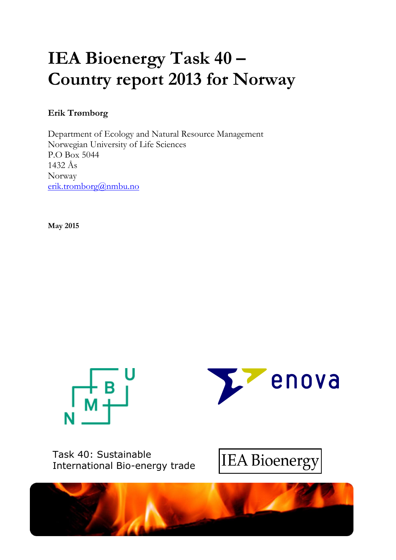# **IEA Bioenergy Task 40 – Country report 2013 for Norway**

## **Erik Trømborg**

Department of Ecology and Natural Resource Management Norwegian University of Life Sciences P.O Box 5044 1432 Ås Norway [erik.tromborg@nmbu.no](mailto:erik.tromborg@nmbu.no)

**May 2015**





Task 40: Sustainable International Bio-energy trade



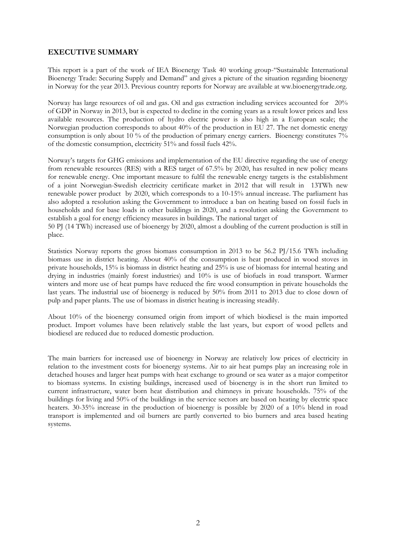#### **EXECUTIVE SUMMARY**

This report is a part of the work of IEA Bioenergy Task 40 working group-"Sustainable International Bioenergy Trade: Securing Supply and Demand" and gives a picture of the situation regarding bioenergy in Norway for the year 2013. Previous country reports for Norway are available at ww.bioenergytrade.org.

Norway has large resources of oil and gas. Oil and gas extraction including services accounted for 20% of GDP in Norway in 2013, but is expected to decline in the coming years as a result lower prices and less available resources. The production of hydro electric power is also high in a European scale; the Norwegian production corresponds to about 40% of the production in EU 27. The net domestic energy consumption is only about 10 % of the production of primary energy carriers. Bioenergy constitutes 7% of the domestic consumption, electricity 51% and fossil fuels 42%.

Norway's targets for GHG emissions and implementation of the EU directive regarding the use of energy from renewable resources (RES) with a RES target of 67.5% by 2020, has resulted in new policy means for renewable energy. One important measure to fulfil the renewable energy targets is the establishment of a joint Norwegian-Swedish electricity certificate market in 2012 that will result in 13TWh new renewable power product by 2020, which corresponds to a 10-15% annual increase. The parliament has also adopted a resolution asking the Government to introduce a ban on heating based on fossil fuels in households and for base loads in other buildings in 2020, and a resolution asking the Government to establish a goal for energy efficiency measures in buildings. The national target of

50 PJ (14 TWh) increased use of bioenergy by 2020, almost a doubling of the current production is still in place.

Statistics Norway reports the gross biomass consumption in 2013 to be 56.2 PJ/15.6 TWh including biomass use in district heating. About 40% of the consumption is heat produced in wood stoves in private households, 15% is biomass in district heating and 25% is use of biomass for internal heating and drying in industries (mainly forest industries) and 10% is use of biofuels in road transport. Warmer winters and more use of heat pumps have reduced the fire wood consumption in private households the last years. The industrial use of bioenergy is reduced by 50% from 2011 to 2013 due to close down of pulp and paper plants. The use of biomass in district heating is increasing steadily.

About 10% of the bioenergy consumed origin from import of which biodiesel is the main imported product. Import volumes have been relatively stable the last years, but export of wood pellets and biodiesel are reduced due to reduced domestic production.

The main barriers for increased use of bioenergy in Norway are relatively low prices of electricity in relation to the investment costs for bioenergy systems. Air to air heat pumps play an increasing role in detached houses and larger heat pumps with heat exchange to ground or sea water as a major competitor to biomass systems. In existing buildings, increased used of bioenergy is in the short run limited to current infrastructure, water born heat distribution and chimneys in private households. 75% of the buildings for living and 50% of the buildings in the service sectors are based on heating by electric space heaters. 30-35% increase in the production of bioenergy is possible by 2020 of a 10% blend in road transport is implemented and oil burners are partly converted to bio burners and area based heating systems.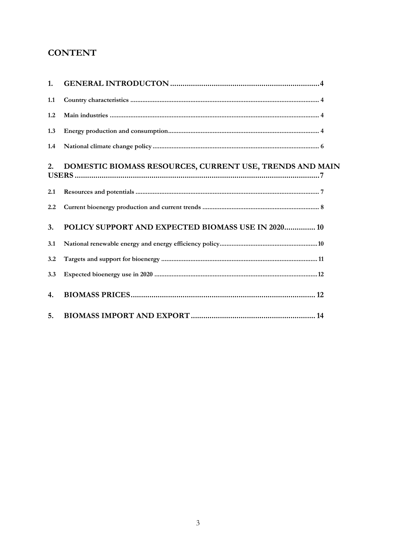## **CONTENT**

| 1.  |                                                          |
|-----|----------------------------------------------------------|
| 1.1 |                                                          |
| 1.2 |                                                          |
| 1.3 |                                                          |
| 1.4 |                                                          |
| 2.  | DOMESTIC BIOMASS RESOURCES, CURRENT USE, TRENDS AND MAIN |
| 2.1 |                                                          |
| 2.2 |                                                          |
| 3.  | POLICY SUPPORT AND EXPECTED BIOMASS USE IN 2020 10       |
| 3.1 |                                                          |
| 3.2 |                                                          |
| 3.3 |                                                          |
| 4.  |                                                          |
| 5.  |                                                          |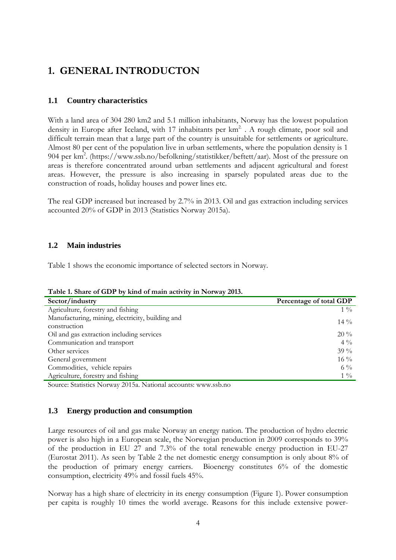# <span id="page-3-0"></span>**1. GENERAL INTRODUCTON**

### <span id="page-3-1"></span>**1.1 Country characteristics**

With a land area of 304 280 km2 and 5.1 million inhabitants, Norway has the lowest population density in Europe after Iceland, with 17 inhabitants per  $km<sup>2</sup>$ . A rough climate, poor soil and difficult terrain mean that a large part of the country is unsuitable for settlements or agriculture. Almost 80 per cent of the population live in urban settlements, where the population density is 1 904 per km<sup>2</sup>. (https://www.ssb.no/befolkning/statistikker/beftett/aar). Most of the pressure on areas is therefore concentrated around urban settlements and adjacent agricultural and forest areas. However, the pressure is also increasing in sparsely populated areas due to the construction of roads, holiday houses and power lines etc.

The real GDP increased but increased by 2.7% in 2013. Oil and gas extraction including services accounted 20% of GDP in 2013 (Statistics Norway 2015a).

#### <span id="page-3-2"></span>**1.2 Main industries**

Table 1 shows the economic importance of selected sectors in Norway.

**Table 1. Share of GDP by kind of main activity in Norway 2013.**

| Sector/industry                                  | Percentage of total GDP |
|--------------------------------------------------|-------------------------|
| Agriculture, forestry and fishing                | $1\frac{0}{0}$          |
| Manufacturing, mining, electricity, building and | $14\%$                  |
| construction                                     |                         |
| Oil and gas extraction including services        | $20\%$                  |
| Communication and transport                      | $4\frac{0}{0}$          |
| Other services                                   | 39 $\%$                 |
| General government                               | $16\%$                  |
| Commodities, vehicle repairs                     | $6\%$                   |
| Agriculture, forestry and fishing                | $1\%$                   |

Source: Statistics Norway 2015a. National accounts: www.ssb.no

#### <span id="page-3-3"></span>**1.3 Energy production and consumption**

Large resources of oil and gas make Norway an energy nation. The production of hydro electric power is also high in a European scale, the Norwegian production in 2009 corresponds to 39% of the production in EU 27 and 7.3% of the total renewable energy production in EU-27 (Eurostat 2011). As seen by [Table 2](#page-4-0) the net domestic energy consumption is only about 8% of the production of primary energy carriers. Bioenergy constitutes 6% of the domestic consumption, electricity 49% and fossil fuels 45%.

Norway has a high share of electricity in its energy consumption [\(Figure 1\)](#page-4-1). Power consumption per capita is roughly 10 times the world average. Reasons for this include extensive power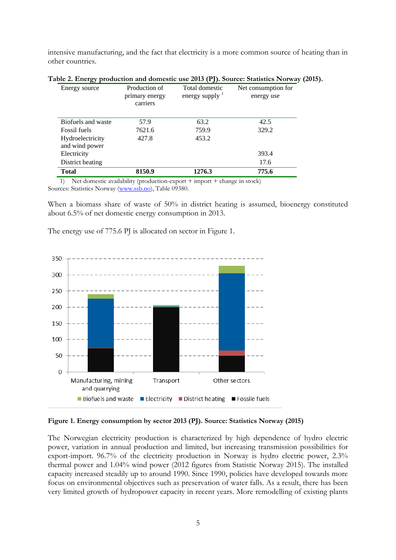intensive manufacturing, and the fact that electricity is a more common source of heating than in other countries.

| Energy source                      | Production of<br>primary energy<br>carriers | Total domestic<br>energy supply $\frac{1}{1}$ | Net consumption for<br>energy use |
|------------------------------------|---------------------------------------------|-----------------------------------------------|-----------------------------------|
| Biofuels and waste                 | 57.9                                        | 63.2                                          | 42.5                              |
| <b>Fossil fuels</b>                | 7621.6                                      | 759.9                                         | 329.2                             |
| Hydroelectricity<br>and wind power | 427.8                                       | 453.2                                         |                                   |
| Electricity                        |                                             |                                               | 393.4                             |
| District heating                   |                                             |                                               | 17.6                              |
| Total                              | 8150.9                                      | 1276.3                                        | 775.6                             |

<span id="page-4-0"></span>

| Table 2. Energy production and domestic use 2013 (PJ). Source: Statistics Norway (2015). |  |  |  |  |
|------------------------------------------------------------------------------------------|--|--|--|--|
|                                                                                          |  |  |  |  |

1) Net domestic availability (production-export + import + change in stock) Sources: Statistics Norway [\(www.ssb.no\)](http://www.ssb.no/), Table 09380.

When a biomass share of waste of 50% in district heating is assumed, bioenergy constituted about 6.5% of net domestic energy consumption in 2013.

The energy use of 775.6 PJ is allocated on sector in Figure 1.



#### <span id="page-4-1"></span>**Figure 1. Energy consumption by sector 2013 (PJ). Source: Statistics Norway (2015)**

The Norwegian electricity production is characterized by high dependence of hydro electric power, variation in annual production and limited, but increasing transmission possibilities for export-import. 96.7% of the electricity production in Norway is hydro electric power, 2.3% thermal power and 1.04% wind power (2012 figures from Statistic Norway 2015). The installed capacity increased steadily up to around 1990. Since 1990, policies have developed towards more focus on environmental objectives such as preservation of water falls. As a result, there has been very limited growth of hydropower capacity in recent years. More remodelling of existing plants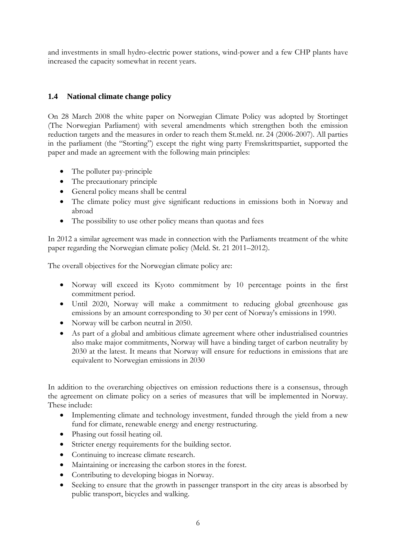and investments in small hydro-electric power stations, wind-power and a few CHP plants have increased the capacity somewhat in recent years.

## <span id="page-5-0"></span>**1.4 National climate change policy**

On 28 March 2008 the white paper on Norwegian Climate Policy was adopted by Stortinget (The Norwegian Parliament) with several amendments which strengthen both the emission reduction targets and the measures in order to reach them St.meld. nr. 24 (2006-2007). All parties in the parliament (the "Storting") except the right wing party Fremskrittspartiet, supported the paper and made an agreement with the following main principles:

- The polluter pay-principle
- The precautionary principle
- General policy means shall be central
- The climate policy must give significant reductions in emissions both in Norway and abroad
- The possibility to use other policy means than quotas and fees

In 2012 a similar agreement was made in connection with the Parliaments treatment of the white paper regarding the Norwegian climate policy (Meld. St. 21 2011–2012).

The overall objectives for the Norwegian climate policy are:

- Norway will exceed its Kyoto commitment by 10 percentage points in the first commitment period.
- Until 2020, Norway will make a commitment to reducing global greenhouse gas emissions by an amount corresponding to 30 per cent of Norway's emissions in 1990.
- Norway will be carbon neutral in 2050.
- As part of a global and ambitious climate agreement where other industrialised countries also make major commitments, Norway will have a binding target of carbon neutrality by 2030 at the latest. It means that Norway will ensure for reductions in emissions that are equivalent to Norwegian emissions in 2030

In addition to the overarching objectives on emission reductions there is a consensus, through the agreement on climate policy on a series of measures that will be implemented in Norway. These include:

- Implementing climate and technology investment, funded through the yield from a new fund for climate, renewable energy and energy restructuring.
- Phasing out fossil heating oil.
- Stricter energy requirements for the building sector.
- Continuing to increase climate research.
- Maintaining or increasing the carbon stores in the forest.
- Contributing to developing biogas in Norway.
- Seeking to ensure that the growth in passenger transport in the city areas is absorbed by public transport, bicycles and walking.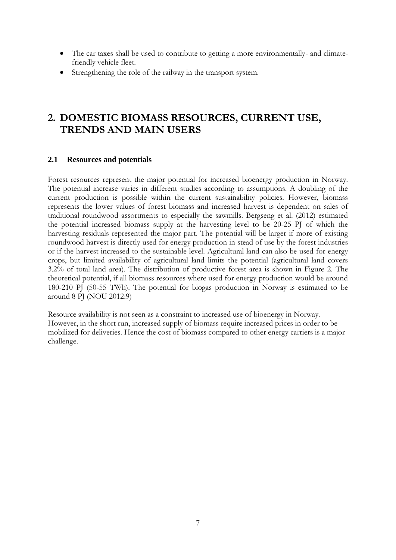- The car taxes shall be used to contribute to getting a more environmentally- and climatefriendly vehicle fleet.
- Strengthening the role of the railway in the transport system.

# <span id="page-6-0"></span>**2. DOMESTIC BIOMASS RESOURCES, CURRENT USE, TRENDS AND MAIN USERS**

#### <span id="page-6-1"></span>**2.1 Resources and potentials**

Forest resources represent the major potential for increased bioenergy production in Norway. The potential increase varies in different studies according to assumptions. A doubling of the current production is possible within the current sustainability policies. However, biomass represents the lower values of forest biomass and increased harvest is dependent on sales of traditional roundwood assortments to especially the sawmills. Bergseng et al. (2012) estimated the potential increased biomass supply at the harvesting level to be 20-25 PJ of which the harvesting residuals represented the major part. The potential will be larger if more of existing roundwood harvest is directly used for energy production in stead of use by the forest industries or if the harvest increased to the sustainable level. Agricultural land can also be used for energy crops, but limited availability of agricultural land limits the potential (agricultural land covers 3.2% of total land area). The distribution of productive forest area is shown in Figure 2. The theoretical potential, if all biomass resources where used for energy production would be around 180-210 PJ (50-55 TWh). The potential for biogas production in Norway is estimated to be around 8 PJ (NOU 2012:9)

Resource availability is not seen as a constraint to increased use of bioenergy in Norway. However, in the short run, increased supply of biomass require increased prices in order to be mobilized for deliveries. Hence the cost of biomass compared to other energy carriers is a major challenge.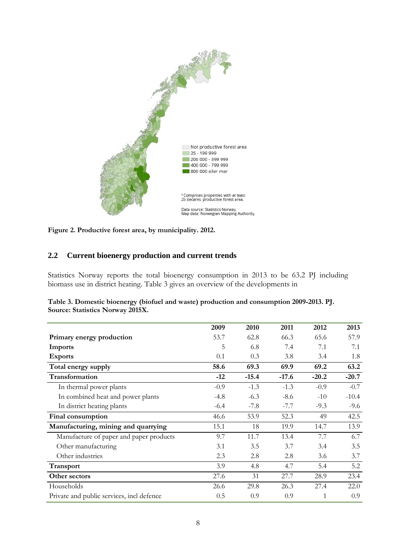

**Figure 2. Productive forest area, by municipality. 2012.**

### <span id="page-7-0"></span>**2.2 Current bioenergy production and current trends**

Statistics Norway reports the total bioenergy consumption in 2013 to be 63.2 PJ including biomass use in district heating. Table 3 gives an overview of the developments in

|                                           | 2009   | 2010    | 2011    | 2012    | 2013    |
|-------------------------------------------|--------|---------|---------|---------|---------|
|                                           |        |         |         |         |         |
| Primary energy production                 | 53.7   | 62.8    | 66.3    | 65.6    | 57.9    |
| Imports                                   | 5      | 6.8     | 7.4     | 7.1     | 7.1     |
| <b>Exports</b>                            | 0.1    | 0.3     | 3.8     | 3.4     | 1.8     |
| Total energy supply                       | 58.6   | 69.3    | 69.9    | 69.2    | 63.2    |
| Transformation                            | $-12$  | $-15.4$ | $-17.6$ | $-20.2$ | $-20.7$ |
| In thermal power plants                   | $-0.9$ | $-1.3$  | $-1.3$  | $-0.9$  | $-0.7$  |
| In combined heat and power plants         | $-4.8$ | $-6.3$  | $-8.6$  | $-10$   | $-10.4$ |
| In district heating plants                | $-6.4$ | $-7.8$  | $-7.7$  | $-9.3$  | $-9.6$  |
| Final consumption                         | 46.6   | 53.9    | 52.3    | 49      | 42.5    |
| Manufacturing, mining and quarrying       | 15.1   | 18      | 19.9    | 14.7    | 13.9    |
| Manufacture of paper and paper products   | 9.7    | 11.7    | 13.4    | 7.7     | 6.7     |
| Other manufacturing                       | 3.1    | 3.5     | 3.7     | 3.4     | 3.5     |
| Other industries                          | 2.3    | 2.8     | 2.8     | 3.6     | 3.7     |
| Transport                                 | 3.9    | 4.8     | 4.7     | 5.4     | 5.2     |
| Other sectors                             | 27.6   | 31      | 27.7    | 28.9    | 23.4    |
| Households                                | 26.6   | 29.8    | 26.3    | 27.4    | 22.0    |
| Private and public services, incl defence | 0.5    | 0.9     | 0.9     |         | 0.9     |

| Table 3. Domestic bioenergy (biofuel and waste) production and consumption 2009-2013. PJ. |  |
|-------------------------------------------------------------------------------------------|--|
| Source: Statistics Norway 2015X.                                                          |  |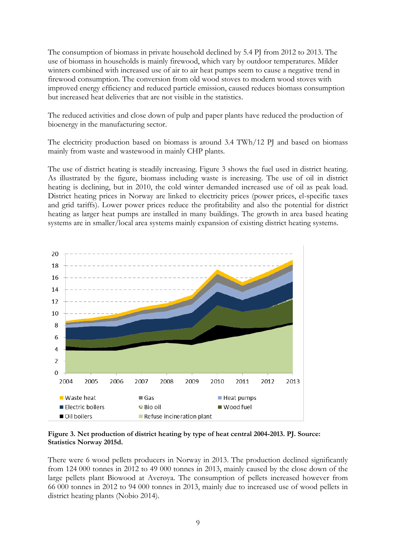The consumption of biomass in private household declined by 5.4 PJ from 2012 to 2013. The use of biomass in households is mainly firewood, which vary by outdoor temperatures. Milder winters combined with increased use of air to air heat pumps seem to cause a negative trend in firewood consumption. The conversion from old wood stoves to modern wood stoves with improved energy efficiency and reduced particle emission, caused reduces biomass consumption but increased heat deliveries that are not visible in the statistics.

The reduced activities and close down of pulp and paper plants have reduced the production of bioenergy in the manufacturing sector.

The electricity production based on biomass is around 3.4 TWh/12 PJ and based on biomass mainly from waste and wastewood in mainly CHP plants.

The use of district heating is steadily increasing. Figure 3 shows the fuel used in district heating. As illustrated by the figure, biomass including waste is increasing. The use of oil in district heating is declining, but in 2010, the cold winter demanded increased use of oil as peak load. District heating prices in Norway are linked to electricity prices (power prices, el-specific taxes and grid tariffs). Lower power prices reduce the profitability and also the potential for district heating as larger heat pumps are installed in many buildings. The growth in area based heating systems are in smaller/local area systems mainly expansion of existing district heating systems.



**Figure 3. Net production of district heating by type of heat central 2004-2013. PJ. Source: Statistics Norway 2015d.**

There were 6 wood pellets producers in Norway in 2013. The production declined significantly from 124 000 tonnes in 2012 to 49 000 tonnes in 2013, mainly caused by the close down of the large pellets plant Biowood at Averøya. The consumption of pellets increased however from 66 000 tonnes in 2012 to 94 000 tonnes in 2013, mainly due to increased use of wood pellets in district heating plants (Nobio 2014).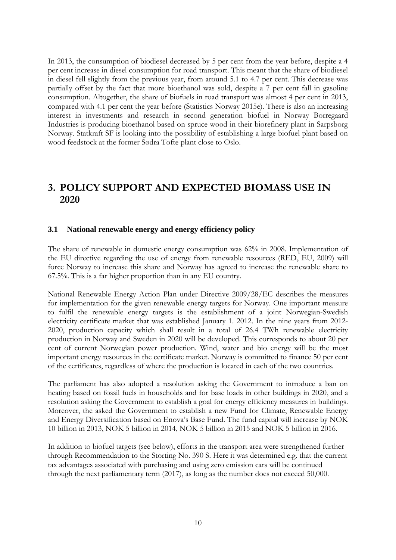In 2013, the consumption of biodiesel decreased by 5 per cent from the year before, despite a 4 per cent increase in diesel consumption for road transport. This meant that the share of biodiesel in diesel fell slightly from the previous year, from around 5.1 to 4.7 per cent. This decrease was partially offset by the fact that more bioethanol was sold, despite a 7 per cent fall in gasoline consumption. Altogether, the share of biofuels in road transport was almost 4 per cent in 2013, compared with 4.1 per cent the year before (Statistics Norway 2015e). There is also an increasing interest in investments and research in second generation biofuel in Norway Borregaard Industries is producing bioethanol based on spruce wood in their biorefinery plant in Sarpsborg Norway. Statkraft SF is looking into the possibility of establishing a large biofuel plant based on wood feedstock at the former Sødra Tofte plant close to Oslo.

# <span id="page-9-0"></span>**3. POLICY SUPPORT AND EXPECTED BIOMASS USE IN 2020**

#### <span id="page-9-1"></span>**3.1 National renewable energy and energy efficiency policy**

The share of renewable in domestic energy consumption was 62% in 2008. Implementation of the EU directive regarding the use of energy from renewable resources (RED, EU, 2009) will force Norway to increase this share and Norway has agreed to increase the renewable share to 67.5%. This is a far higher proportion than in any EU country.

National Renewable Energy Action Plan under Directive 2009/28/EC describes the measures for implementation for the given renewable energy targets for Norway. One important measure to fulfil the renewable energy targets is the establishment of a joint Norwegian-Swedish electricity certificate market that was established January 1. 2012. In the nine years from 2012- 2020, production capacity which shall result in a total of 26.4 TWh renewable electricity production in Norway and Sweden in 2020 will be developed. This corresponds to about 20 per cent of current Norwegian power production. Wind, water and bio energy will be the most important energy resources in the certificate market. Norway is committed to finance 50 per cent of the certificates, regardless of where the production is located in each of the two countries.

The parliament has also adopted a resolution asking the Government to introduce a ban on heating based on fossil fuels in households and for base loads in other buildings in 2020, and a resolution asking the Government to establish a goal for energy efficiency measures in buildings. Moreover, the asked the Government to establish a new Fund for Climate, Renewable Energy and Energy Diversification based on Enova's Base Fund. The fund capital will increase by NOK 10 billion in 2013, NOK 5 billion in 2014, NOK 5 billion in 2015 and NOK 5 billion in 2016.

In addition to biofuel targets (see below), efforts in the transport area were strengthened further through Recommendation to the Storting No. 390 S. Here it was determined e.g. that the current tax advantages associated with purchasing and using zero emission cars will be continued through the next parliamentary term (2017), as long as the number does not exceed 50,000.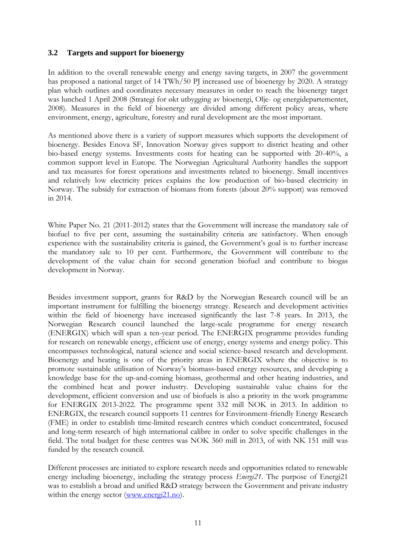#### <span id="page-10-0"></span>**3.2 Targets and support for bioenergy**

In addition to the overall renewable energy and energy saving targets, in 2007 the government has proposed a national target of 14 TWh/50 PJ increased use of bioenergy by 2020. A strategy plan which outlines and coordinates necessary measures in order to reach the bioenergy target was lunched 1 April 2008 (Strategi for økt utbygging av bioenergi, Olje- og energidepartementet, 2008). Measures in the field of bioenergy are divided among different policy areas, where environment, energy, agriculture, forestry and rural development are the most important.

As mentioned above there is a variety of support measures which supports the development of bioenergy. Besides Enova SF, Innovation Norway gives support to district heating and other bio-based energy systems. Investments costs for heating can be supported with 20-40%, a common support level in Europe. The Norwegian Agricultural Authority handles the support and tax measures for forest operations and investments related to bioenergy. Small incentives and relatively low electricity prices explains the low production of bio-based electricity in Norway. The subsidy for extraction of biomass from forests (about 20% support) was removed in 2014.

White Paper No. 21 (2011-2012) states that the Government will increase the mandatory sale of biofuel to five per cent, assuming the sustainability criteria are satisfactory. When enough experience with the sustainability criteria is gained, the Government's goal is to further increase the mandatory sale to 10 per cent. Furthermore, the Government will contribute to the development of the value chain for second generation biofuel and contribute to biogas development in Norway.

Besides investment support, grants for R&D by the Norwegian Research council will be an important instrument for fulfilling the bioenergy strategy. Research and development activities within the field of bioenergy have increased significantly the last 7-8 years. In 2013, the Norwegian Research council launched the large-scale programme for energy research (ENERGIX) which will span a ten-year period. The ENERGIX programme provides funding for research on renewable energy, efficient use of energy, energy systems and energy policy. This encompasses technological, natural science and social science-based research and development. Bioenergy and heating is one of the priority areas in ENERGIX where the objective is to promote sustainable utilisation of Norway's biomass-based energy resources, and developing a knowledge base for the up-and-coming biomass, geothermal and other heating industries, and the combined heat and power industry. Developing sustainable value chains for the development, efficient conversion and use of biofuels is also a priority in the work programme for ENERGIX 2013-2022. The programme spent 332 mill NOK in 2013. In addition to ENERGIX, the research council supports 11 centres for Environment-friendly Energy Research (FME) in order to establish time-limited research centres which conduct concentrated, focused and long-term research of high international calibre in order to solve specific challenges in the field. The total budget for these centres was NOK 360 mill in 2013, of with NK 151 mill was funded by the research council.

Different processes are initiated to explore research needs and opportunities related to renewable energy including bioenergy, including the strategy process *Energi21*. The purpose of Energi21 was to establish a broad and unified R&D strategy between the Government and private industry within the energy sector [\(www.energi21.no\)](http://www.energi21.no/).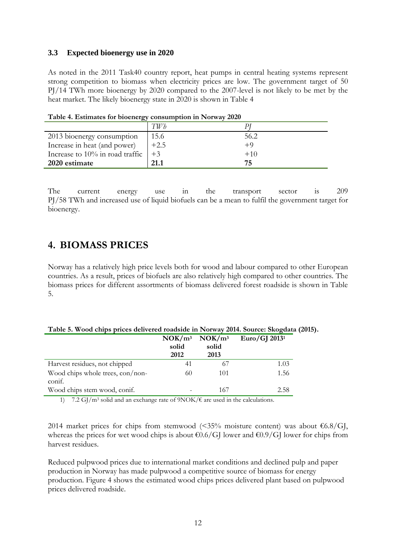#### <span id="page-11-0"></span>**3.3 Expected bioenergy use in 2020**

As noted in the 2011 Task40 country report, heat pumps in central heating systems represent strong competition to biomass when electricity prices are low. The government target of 50 PJ/14 TWh more bioenergy by 2020 compared to the 2007-level is not likely to be met by the heat market. The likely bioenergy state in 2020 is shown in Table 4

|                                 | TWh    |        |
|---------------------------------|--------|--------|
| 2013 bioenergy consumption      | 15.6   | 56.2   |
| Increase in heat (and power)    | $+2.5$ | +9     |
| Increase to 10% in road traffic | $+3$   | $+1()$ |
| 2020 estimate                   | 21.1   | 75     |

**Table 4. Estimates for bioenergy consumption in Norway 2020**

The current energy use in the transport sector is 209 PJ/58 TWh and increased use of liquid biofuels can be a mean to fulfil the government target for bioenergy.

## <span id="page-11-1"></span>**4. BIOMASS PRICES**

Norway has a relatively high price levels both for wood and labour compared to other European countries. As a result, prices of biofuels are also relatively high compared to other countries. The biomass prices for different assortments of biomass delivered forest roadside is shown in Table 5.

| Table 5. Wood chips prices delivered roadside in Norway 2014. Source: Skogdata (2015). |  |  |  |  |  |
|----------------------------------------------------------------------------------------|--|--|--|--|--|
|----------------------------------------------------------------------------------------|--|--|--|--|--|

|                                            | NOK/m <sup>3</sup><br>solid<br>2012 | NOK/m <sup>3</sup><br>solid<br>2013 | $Euro/GJ$ 2013 <sup>1</sup> |
|--------------------------------------------|-------------------------------------|-------------------------------------|-----------------------------|
| Harvest residues, not chipped              | 41                                  |                                     | 1.03                        |
| Wood chips whole trees, con/non-<br>conif. | 60                                  | 101                                 | 1.56                        |
| Wood chips stem wood, conif.               |                                     | 167                                 | 2.58                        |

1) 7.2 GJ/m<sup>3</sup> solid and an exchange rate of  $9NOK/\epsilon$  are used in the calculations.

2014 market prices for chips from stemwood (<35% moisture content) was about  $\epsilon$ 6.8/GJ, whereas the prices for wet wood chips is about  $\text{\textsterling}0.6/G$  lower and  $\text{\textsterling}0.9/G$  lower for chips from harvest residues.

Reduced pulpwood prices due to international market conditions and declined pulp and paper production in Norway has made pulpwood a competitive source of biomass for energy production. Figure 4 shows the estimated wood chips prices delivered plant based on pulpwood prices delivered roadside.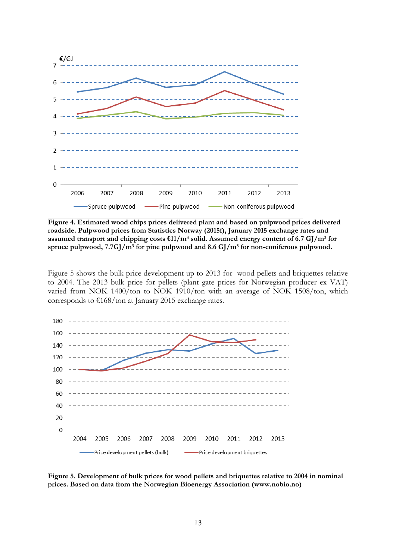

**Figure 4. Estimated wood chips prices delivered plant and based on pulpwood prices delivered roadside. Pulpwood prices from Statistics Norway (2015f), January 2015 exchange rates and assumed transport and chipping costs €11/m<sup>3</sup> solid. Assumed energy content of 6.7 GJ/m<sup>3</sup> for spruce pulpwood, 7.7GJ/m<sup>3</sup> for pine pulpwood and 8.6 GJ/m<sup>3</sup> for non-coniferous pulpwood.**

Figure 5 shows the bulk price development up to 2013 for wood pellets and briquettes relative to 2004. The 2013 bulk price for pellets (plant gate prices for Norwegian producer ex VAT) varied from NOK 1400/ton to NOK 1910/ton with an average of NOK 1508/ton, which corresponds to  $\frac{\epsilon}{168}}$  ton at January 2015 exchange rates.



**Figure 5. Development of bulk prices for wood pellets and briquettes relative to 2004 in nominal prices. Based on data from the Norwegian Bioenergy Association (www.nobio.no)**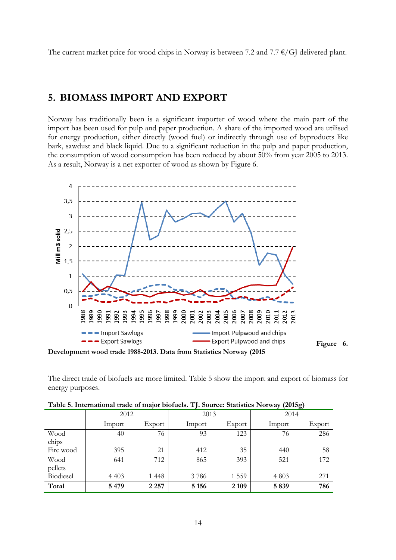The current market price for wood chips in Norway is between 7.2 and 7.7  $\epsilon$ /GJ delivered plant.

## <span id="page-13-0"></span>**5. BIOMASS IMPORT AND EXPORT**

Norway has traditionally been is a significant importer of wood where the main part of the import has been used for pulp and paper production. A share of the imported wood are utilised for energy production, either directly (wood fuel) or indirectly through use of byproducts like bark, sawdust and black liquid. Due to a significant reduction in the pulp and paper production, the consumption of wood consumption has been reduced by about 50% from year 2005 to 2013. As a result, Norway is a net exporter of wood as shown by Figure 6.



**Development wood trade 1988-2013. Data from Statistics Norway (2015**



The direct trade of biofuels are more limited. Table 5 show the import and export of biomass for energy purposes.

|           |         |         | $\cdot$ |         | $\overline{\phantom{a}}$ | ້      |
|-----------|---------|---------|---------|---------|--------------------------|--------|
|           | 2012    |         | 2013    |         | 2014                     |        |
|           | Import  | Export  | Import  | Export  | Import                   | Export |
| Wood      | 40      | 76      | 93      | 123     | 76                       | 286    |
| chips     |         |         |         |         |                          |        |
| Fire wood | 395     | 21      | 412     | 35      | 440                      | 58     |
| Wood      | 641     | 712     | 865     | 393     | 521                      | 172    |
| pellets   |         |         |         |         |                          |        |
| Biodiesel | 4 4 0 3 | 1 4 4 8 | 3786    | 1 5 5 9 | 4 8 0 3                  | 271    |
| Total     | 5 4 7 9 | 2 2 5 7 | 5 1 5 6 | 2 1 0 9 | 5839                     | 786    |

|  | Table 5. International trade of major biofuels. TJ. Source: Statistics Norway (2015g) |  |  |  |
|--|---------------------------------------------------------------------------------------|--|--|--|
|  |                                                                                       |  |  |  |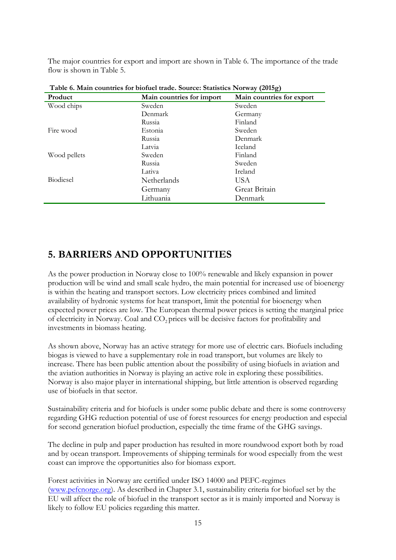The major countries for export and import are shown in Table 6. The importance of the trade flow is shown in Table 5.

| Table 6. Main countries for bioluci trade. Source: Statistics Norway (2015g) |                           |                           |  |  |  |  |
|------------------------------------------------------------------------------|---------------------------|---------------------------|--|--|--|--|
| Product                                                                      | Main countries for import | Main countries for export |  |  |  |  |
| Wood chips                                                                   | Sweden                    |                           |  |  |  |  |
|                                                                              | Denmark                   | Germany                   |  |  |  |  |
|                                                                              | Russia                    | Finland                   |  |  |  |  |
| Fire wood                                                                    | Estonia                   | Sweden                    |  |  |  |  |
|                                                                              | Russia                    | Denmark                   |  |  |  |  |
|                                                                              | Latvia                    | Iceland                   |  |  |  |  |
| Wood pellets                                                                 | Sweden                    | Finland                   |  |  |  |  |
|                                                                              | Russia                    | Sweden                    |  |  |  |  |
|                                                                              | Lativa                    | Ireland                   |  |  |  |  |
| Biodiesel                                                                    | Netherlands               | US A                      |  |  |  |  |
|                                                                              | Germany                   | Great Britain             |  |  |  |  |
|                                                                              | Lithuania                 | Denmark                   |  |  |  |  |

**Table 6. Main countries for biofuel trade. Source: Statistics Norway (2015g)**

# **5. BARRIERS AND OPPORTUNITIES**

As the power production in Norway close to 100% renewable and likely expansion in power production will be wind and small scale hydro, the main potential for increased use of bioenergy is within the heating and transport sectors. Low electricity prices combined and limited availability of hydronic systems for heat transport, limit the potential for bioenergy when expected power prices are low. The European thermal power prices is setting the marginal price of electricity in Norway. Coal and CO<sub>2</sub> prices will be decisive factors for profitability and investments in biomass heating.

As shown above, Norway has an active strategy for more use of electric cars. Biofuels including biogas is viewed to have a supplementary role in road transport, but volumes are likely to increase. There has been public attention about the possibility of using biofuels in aviation and the aviation authorities in Norway is playing an active role in exploring these possibilities. Norway is also major player in international shipping, but little attention is observed regarding use of biofuels in that sector.

Sustainability criteria and for biofuels is under some public debate and there is some controversy regarding GHG reduction potential of use of forest resources for energy production and especial for second generation biofuel production, especially the time frame of the GHG savings.

The decline in pulp and paper production has resulted in more roundwood export both by road and by ocean transport. Improvements of shipping terminals for wood especially from the west coast can improve the opportunities also for biomass export.

Forest activities in Norway are certified under ISO 14000 and PEFC-regimes [\(www.pefcnorge.org\)](http://www.pefcnorge.org/). As described in Chapter 3.1, sustainability criteria for biofuel set by the EU will affect the role of biofuel in the transport sector as it is mainly imported and Norway is likely to follow EU policies regarding this matter.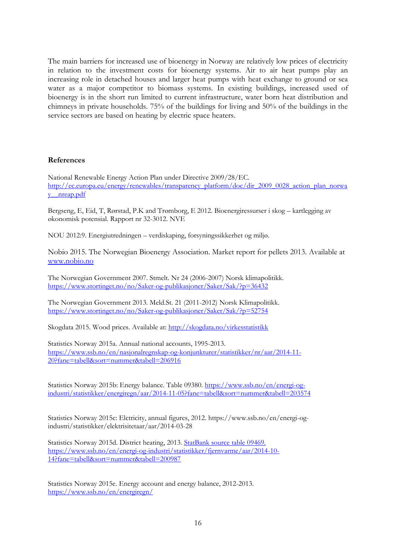The main barriers for increased use of bioenergy in Norway are relatively low prices of electricity in relation to the investment costs for bioenergy systems. Air to air heat pumps play an increasing role in detached houses and larger heat pumps with heat exchange to ground or sea water as a major competitor to biomass systems. In existing buildings, increased used of bioenergy is in the short run limited to current infrastructure, water born heat distribution and chimneys in private households. 75% of the buildings for living and 50% of the buildings in the service sectors are based on heating by electric space heaters.

#### **References**

National Renewable Energy Action Plan under Directive 2009/28/EC. [http://ec.europa.eu/energy/renewables/transparency\\_platform/doc/dir\\_2009\\_0028\\_action\\_plan\\_norwa](http://ec.europa.eu/energy/renewables/transparency_platform/doc/dir_2009_0028_action_plan_norway__nreap.pdf) [y\\_\\_nreap.pdf](http://ec.europa.eu/energy/renewables/transparency_platform/doc/dir_2009_0028_action_plan_norway__nreap.pdf)

Bergseng, E, Eid, T, Rørstad, P.K and Trømborg, E 2012. Bioenergiressurser i skog – kartlegging av økonomisk potensial. Rapport nr 32-3012. NVE

NOU 2012:9. Energiutredningen – verdiskaping, forsyningssikkerhet og miljø.

Nobio 2015. The Norwegian Bioenergy Association. Market report for pellets 2013. Available at [www.nobio.no](http://www.nobio.no/)

The Norwegian Government 2007. Stmelt. Nr 24 (2006-2007) Norsk klimapolitikk. <https://www.stortinget.no/no/Saker-og-publikasjoner/Saker/Sak/?p=36432>

The Norwegian Government 2013. Meld.St. 21 (2011-2012) Norsk Klimapolitikk. <https://www.stortinget.no/no/Saker-og-publikasjoner/Saker/Sak/?p=52754>

Skogdata 2015. Wood prices. Available at:<http://skogdata.no/virkesstatistikk>

Statistics Norway 2015a. Annual national accounts, 1995-2013. [https://www.ssb.no/en/nasjonalregnskap-og-konjunkturer/statistikker/nr/aar/2014-11-](https://www.ssb.no/en/nasjonalregnskap-og-konjunkturer/statistikker/nr/aar/2014-11-20?fane=tabell&sort=nummer&tabell=206916) [20?fane=tabell&sort=nummer&tabell=206916](https://www.ssb.no/en/nasjonalregnskap-og-konjunkturer/statistikker/nr/aar/2014-11-20?fane=tabell&sort=nummer&tabell=206916)

Statistics Norway 2015b: Energy balance. Table 09380. [https://www.ssb.no/en/energi-og](https://www.ssb.no/en/energi-og-industri/statistikker/energiregn/aar/2014-11-05?fane=tabell&sort=nummer&tabell=203574)[industri/statistikker/energiregn/aar/2014-11-05?fane=tabell&sort=nummer&tabell=203574](https://www.ssb.no/en/energi-og-industri/statistikker/energiregn/aar/2014-11-05?fane=tabell&sort=nummer&tabell=203574)

Statistics Norway 2015c: Elctricity, annual figures, 2012. https://www.ssb.no/en/energi-ogindustri/statistikker/elektrisitetaar/aar/2014-03-28

Statistics Norway 2015d. District heating, 2013. [StatBank source table](file:///d:/Documents%20and%20Settings/Erikt/Local%20Settings/Temporary%20Internet%20Files/Content.IE5/G326FVNJ/StatBank%20source%20table%2009469.%20https:/www.ssb.no/en/energi-og-industri/statistikker/fjernvarme/aar/2014-10-14%3ffane=tabell&sort=nummer&tabell=200987) 09469. [https://www.ssb.no/en/energi-og-industri/statistikker/fjernvarme/aar/2014-10-](file:///d:/Documents%20and%20Settings/Erikt/Local%20Settings/Temporary%20Internet%20Files/Content.IE5/G326FVNJ/StatBank%20source%20table%2009469.%20https:/www.ssb.no/en/energi-og-industri/statistikker/fjernvarme/aar/2014-10-14%3ffane=tabell&sort=nummer&tabell=200987) [14?fane=tabell&sort=nummer&tabell=200987](file:///d:/Documents%20and%20Settings/Erikt/Local%20Settings/Temporary%20Internet%20Files/Content.IE5/G326FVNJ/StatBank%20source%20table%2009469.%20https:/www.ssb.no/en/energi-og-industri/statistikker/fjernvarme/aar/2014-10-14%3ffane=tabell&sort=nummer&tabell=200987) 

Statistics Norway 2015e. Energy account and energy balance, 2012-2013. <https://www.ssb.no/en/energiregn/>